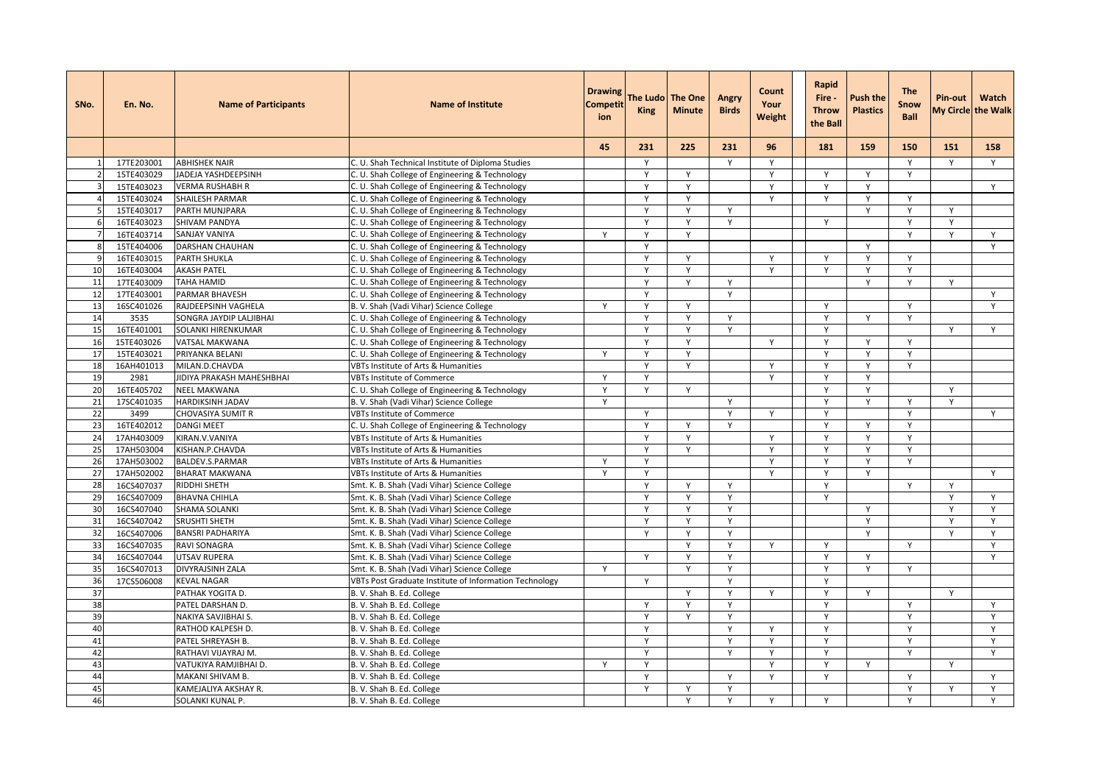| SNo.           | En. No.    | <b>Name of Participants</b> | <b>Name of Institute</b>                               | <b>Drawing</b><br>Competit<br>ion | <b>King</b>  | The Ludo The One<br><b>Minute</b> | Angry<br><b>Birds</b> | Count<br>Your<br>Weight | Rapid<br>Fire -<br><b>Throw</b><br>the Ball | <b>Push the</b><br><b>Plastics</b> | <b>The</b><br>Snow<br><b>Ball</b> | <b>Pin-out</b> | Watch<br>My Circle the Walk |
|----------------|------------|-----------------------------|--------------------------------------------------------|-----------------------------------|--------------|-----------------------------------|-----------------------|-------------------------|---------------------------------------------|------------------------------------|-----------------------------------|----------------|-----------------------------|
|                |            |                             |                                                        | 45                                | 231          | 225                               | 231                   | 96                      | 181                                         | 159                                | 150                               | 151            | 158                         |
|                | 17TE203001 | <b>ABHISHEK NAIR</b>        | C. U. Shah Technical Institute of Diploma Studies      |                                   | Y            |                                   |                       | Y                       |                                             |                                    | Y                                 | Y              | Y                           |
|                | 15TE403029 | JADEJA YASHDEEPSINH         | C. U. Shah College of Engineering & Technology         |                                   | $\mathsf{v}$ | $\mathsf{Y}$                      |                       | Y                       | Y                                           | Y                                  | Y                                 |                |                             |
|                | 15TE403023 | <b>VERMA RUSHABH R</b>      | C. U. Shah College of Engineering & Technology         |                                   | Y            | Y                                 |                       | Y                       | Y                                           | Y                                  |                                   |                | Y                           |
| $\overline{4}$ | 15TE403024 | <b>SHAILESH PARMAR</b>      | C. U. Shah College of Engineering & Technology         |                                   | Y            | Y                                 |                       | Y                       | Y                                           | Y                                  | Y                                 |                |                             |
| $\overline{5}$ | 15TE403017 | PARTH MUNJPARA              | C. U. Shah College of Engineering & Technology         |                                   | Y            | Y                                 | Υ                     |                         |                                             | Υ                                  | Υ                                 | Y              |                             |
| f              | 16TE403023 | SHIVAM PANDYA               | C. U. Shah College of Engineering & Technology         |                                   |              | $\mathsf{v}$                      |                       |                         | Y                                           |                                    | Y                                 | $\mathsf{v}$   |                             |
|                | 16TE403714 | <b>SANJAY VANIYA</b>        | C. U. Shah College of Engineering & Technology         | Y                                 | $\mathsf{Y}$ | Y                                 |                       |                         |                                             |                                    | Y                                 | Y              | Y                           |
| -S             | 15TE404006 | <b>DARSHAN CHAUHAN</b>      | C. U. Shah College of Engineering & Technology         |                                   | Y            |                                   |                       |                         |                                             | Y                                  |                                   |                | Y                           |
| $\epsilon$     | 16TE403015 | PARTH SHUKLA                | C. U. Shah College of Engineering & Technology         |                                   | Y            | Y                                 |                       | Y                       | Y                                           | Y                                  | Y                                 |                |                             |
| 10             | 16TE403004 | <b>AKASH PATEL</b>          | C. U. Shah College of Engineering & Technology         |                                   | Y            | Y                                 |                       | Y                       | Y                                           | Y                                  | Y                                 |                |                             |
| 11             | 17TE403009 | <b>TAHA HAMID</b>           | C. U. Shah College of Engineering & Technology         |                                   | Y            | Y                                 | Y                     |                         |                                             |                                    | Y                                 | Y              |                             |
| 12             | 17TE403001 | PARMAR BHAVESH              | C. U. Shah College of Engineering & Technology         |                                   | Y            |                                   | Y                     |                         |                                             |                                    |                                   |                | Y                           |
| 13             | 16SC401026 | RAJDEEPSINH VAGHELA         | B. V. Shah (Vadi Vihar) Science College                | Y                                 | Y            | Y                                 |                       |                         | Y                                           |                                    | Y                                 |                | Y                           |
| 14             | 3535       | SONGRA JAYDIP LALJIBHAI     | C. U. Shah College of Engineering & Technology         |                                   | Y            | Y                                 | Y                     |                         | Y                                           | Y                                  | Y                                 |                |                             |
| 15             | 16TE401001 | <b>SOLANKI HIRENKUMAR</b>   | C. U. Shah College of Engineering & Technology         |                                   | Y            | Y                                 | Υ                     |                         | Y                                           |                                    |                                   | Y              | Y                           |
| 16             | 15TE403026 | VATSAL MAKWANA              | C. U. Shah College of Engineering & Technology         |                                   |              | Y                                 |                       | Y                       | Y                                           | Y                                  | Y                                 |                |                             |
| 17             | 15TE403021 | PRIYANKA BELANI             | C. U. Shah College of Engineering & Technology         | Y                                 | $\mathsf{v}$ | Y                                 |                       |                         | Y                                           | Y                                  | Y                                 |                |                             |
| 18             | 16AH401013 | MILAN.D.CHAVDA              | VBTs Institute of Arts & Humanities                    |                                   | $\mathsf{Y}$ | Y                                 |                       | Y                       | Y                                           | Y                                  | Y                                 |                |                             |
| 19             | 2981       | JIDIYA PRAKASH MAHESHBHAI   | <b>VBTs Institute of Commerce</b>                      | Y                                 | Y            |                                   |                       | Y                       | Y                                           | Y                                  |                                   |                |                             |
| 20             | 16TE405702 | <b>NEEL MAKWANA</b>         | C. U. Shah College of Engineering & Technology         | Y                                 | Y            | Y                                 |                       |                         | Y                                           | Y                                  |                                   | Y              |                             |
| 21             | 17SC401035 | <b>HARDIKSINH JADAV</b>     | B. V. Shah (Vadi Vihar) Science College                | Υ                                 |              |                                   |                       |                         | Y                                           |                                    | Y                                 |                |                             |
| 22             | 3499       | CHOVASIYA SUMIT R           | <b>VBTs Institute of Commerce</b>                      |                                   | Y            |                                   | Y                     | Y                       | Y                                           |                                    | Y                                 |                | Y                           |
| 23             | 16TE402012 | <b>DANGI MEET</b>           | C. U. Shah College of Engineering & Technology         |                                   | Y            | Y                                 | Y                     |                         | Y                                           | Y                                  | Y                                 |                |                             |
| 24             | 17AH403009 | KIRAN.V.VANIYA              | VBTs Institute of Arts & Humanities                    |                                   | Y            | Y                                 |                       | Y                       | Y                                           | Y                                  | Y                                 |                |                             |
| 25             | 17AH503004 | KISHAN.P.CHAVDA             | VBTs Institute of Arts & Humanities                    |                                   | Y            | Y                                 |                       | Y                       | Υ                                           | Υ                                  | Υ                                 |                |                             |
| 26             | 17AH503002 | BALDEV.S.PARMAR             | VBTs Institute of Arts & Humanities                    | Υ                                 | Y            |                                   |                       | Y                       | Y                                           | Y                                  | Y                                 |                |                             |
| 27             | 17AH502002 | <b>BHARAT MAKWANA</b>       | VBTs Institute of Arts & Humanities                    | $\mathsf{Y}$                      | $\mathsf{v}$ |                                   |                       | $\mathsf{v}$            | Y                                           | Y                                  |                                   |                | Y                           |
| 28             | 16CS407037 | RIDDHI SHETH                | Smt. K. B. Shah (Vadi Vihar) Science College           |                                   | Y            | Y                                 | Y                     |                         | Y                                           |                                    | Y                                 | Y              |                             |
| 29             | 16CS407009 | <b>BHAVNA CHIHLA</b>        | Smt. K. B. Shah (Vadi Vihar) Science College           |                                   | Y            | Y                                 | Y                     |                         | Y                                           |                                    |                                   | Y              | Y                           |
| 30             | 16CS407040 | <b>SHAMA SOLANKI</b>        | Smt. K. B. Shah (Vadi Vihar) Science College           |                                   | Y            | Y                                 | Y                     |                         |                                             | Y                                  |                                   | Y              | Y                           |
| 31             | 16CS407042 | <b>SRUSHTI SHETH</b>        | Smt. K. B. Shah (Vadi Vihar) Science College           |                                   |              | $\mathsf{Y}$                      | Y                     |                         |                                             | Y                                  |                                   |                | Y                           |
| 32             | 16CS407006 | <b>BANSRI PADHARIYA</b>     | Smt. K. B. Shah (Vadi Vihar) Science College           |                                   | $\mathsf{v}$ | Y                                 | Y                     |                         |                                             | Y                                  |                                   | $\vee$         | Y                           |
| 33             | 16CS407035 | RAVI SONAGRA                | Smt. K. B. Shah (Vadi Vihar) Science College           |                                   |              | Y                                 | Y                     | Y                       | Y                                           |                                    | Y                                 |                | Y                           |
| 34             | 16CS407044 | UTSAV RUPERA                | Smt. K. B. Shah (Vadi Vihar) Science College           |                                   | Y            | Y                                 | Y                     |                         | Y                                           | Y                                  |                                   |                | Y                           |
| 35             | 16CS407013 | <b>DIVYRAJSINH ZALA</b>     | Smt. K. B. Shah (Vadi Vihar) Science College           | Y                                 |              | Y                                 | Y                     |                         | Y                                           | Y                                  | Y                                 |                |                             |
| 36             | 17CS506008 | <b>KEVAL NAGAR</b>          | VBTs Post Graduate Institute of Information Technology |                                   | Y            |                                   | Y                     |                         | Y                                           |                                    |                                   |                |                             |
| 37             |            | PATHAK YOGITA D.            | B. V. Shah B. Ed. College                              |                                   |              | Y                                 | Y                     | Y                       | Y                                           | Y                                  |                                   | Y              |                             |
| 38             |            | PATEL DARSHAN D.            | B. V. Shah B. Ed. College                              |                                   | Y            | Y                                 | Y                     |                         | Y                                           |                                    | Y                                 |                | Y                           |
| 39             |            | NAKIYA SAVJIBHAI S.         | B. V. Shah B. Ed. College                              |                                   | Y            | Y                                 | Y                     |                         | Y                                           |                                    | Y                                 |                | Y                           |
| 40             |            | RATHOD KALPESH D.           | B. V. Shah B. Ed. College                              |                                   | Y            |                                   | Y                     | Y                       | Y                                           |                                    | Υ                                 |                | Y                           |
| 41             |            | PATEL SHREYASH B.           | B. V. Shah B. Ed. College                              |                                   | Y            |                                   | Y                     | Y                       | Y                                           |                                    | Y                                 |                | Y                           |
| 42             |            | RATHAVI VIJAYRAJ M.         | B. V. Shah B. Ed. College                              |                                   | Y            |                                   | Y                     | Y                       | Y                                           |                                    | Y                                 |                | Y                           |
| 43             |            | VATUKIYA RAMJIBHAI D.       | B. V. Shah B. Ed. College                              | Y                                 | Y            |                                   |                       | Y                       | Y                                           | Y                                  |                                   | Y              |                             |
| 44             |            | MAKANI SHIVAM B.            | B. V. Shah B. Ed. College                              |                                   | Y            |                                   | Y                     | Y                       | Y                                           |                                    | Y                                 |                | Y                           |
| 45             |            | KAMEJALIYA AKSHAY R.        | B. V. Shah B. Ed. College                              |                                   | Y            | Υ                                 | Υ                     |                         |                                             |                                    | Υ                                 | Y              | Y                           |
| 46             |            | SOLANKI KUNAL P.            | B. V. Shah B. Ed. College                              |                                   |              | Y                                 |                       | Y                       | Y                                           |                                    | Υ                                 |                | Y                           |
|                |            |                             |                                                        |                                   |              |                                   |                       |                         |                                             |                                    |                                   |                |                             |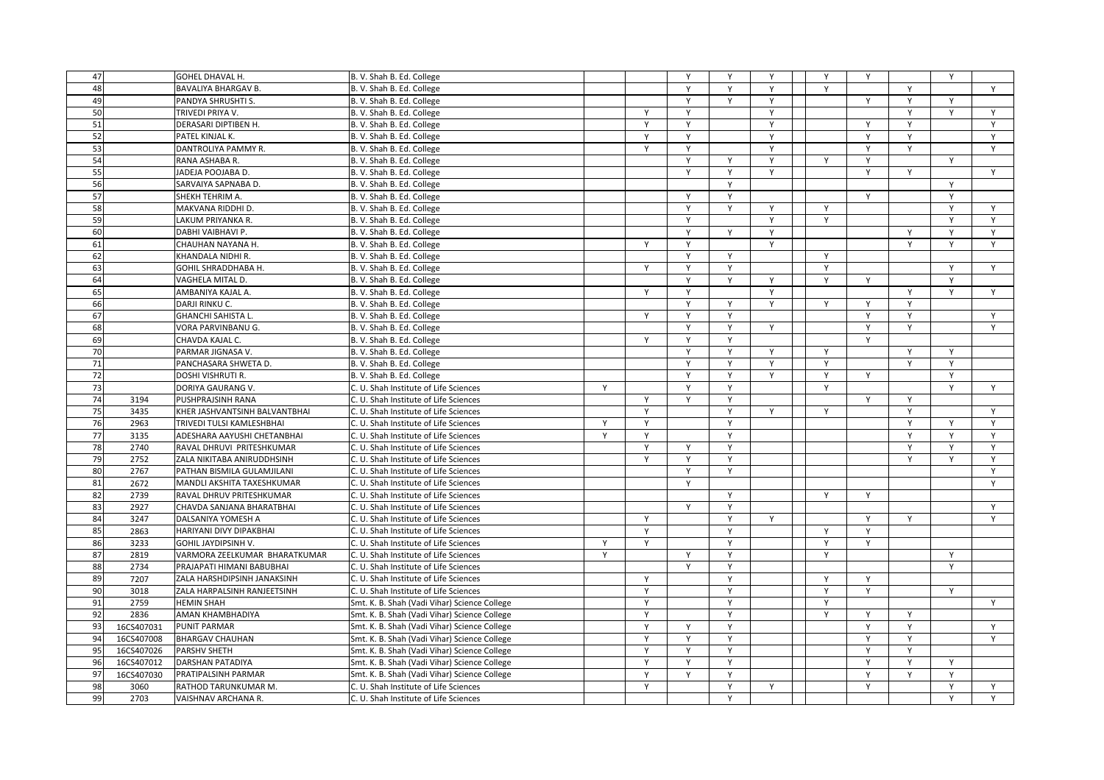| 47       |            |                               |                                              |   |              | Y | Y | Y            | Y | Y            |   | Y |   |
|----------|------------|-------------------------------|----------------------------------------------|---|--------------|---|---|--------------|---|--------------|---|---|---|
| 48       |            | GOHEL DHAVAL H.               | B. V. Shah B. Ed. College                    |   |              | Y | Y | Y            | Y |              | Y |   | Y |
|          |            | <b>BAVALIYA BHARGAV B.</b>    | B. V. Shah B. Ed. College                    |   |              | Y |   |              |   |              |   |   |   |
| 49       |            | PANDYA SHRUSHTI S.            | B. V. Shah B. Ed. College                    |   |              |   | Y | Y            |   | Y            | Y | Y |   |
| 50       |            | TRIVEDI PRIYA V.              | B. V. Shah B. Ed. College                    |   | Y            | Y |   | Y            |   |              | Y | Y | Y |
| 51       |            | DERASARI DIPTIBEN H.          | B. V. Shah B. Ed. College                    |   | Y            | Y |   | Υ            |   | Y            | Y |   | Y |
| 52       |            | PATEL KINJAL K.               | B. V. Shah B. Ed. College                    |   | Y            | Y |   | Y            |   | Y            | Y |   | Υ |
| 53       |            | DANTROLIYA PAMMY R.           | B. V. Shah B. Ed. College                    |   | $\mathsf{Y}$ | Y |   | $\mathsf{Y}$ |   | Y            | Y |   | Y |
| 54       |            | RANA ASHABA R.                | B. V. Shah B. Ed. College                    |   |              | Y | Y | Y            | Y | Y            |   | Y |   |
| 55       |            | JADEJA POOJABA D.             | B. V. Shah B. Ed. College                    |   |              | Y | Y | Y            |   | Y            | Y |   | Y |
| 56       |            | SARVAIYA SAPNABA D.           | B. V. Shah B. Ed. College                    |   |              |   | Y |              |   |              |   | Y |   |
| 57       |            | SHEKH TEHRIM A.               | B. V. Shah B. Ed. College                    |   |              | Y | Υ |              |   | Y            |   | Y |   |
| 58       |            | MAKVANA RIDDHI D.             | B. V. Shah B. Ed. College                    |   |              | Y | Y | Y            | Y |              |   | Y | Y |
| 59       |            | LAKUM PRIYANKA R.             | B. V. Shah B. Ed. College                    |   |              | Y |   | Y            | Y |              |   | Y | Y |
| 60       |            | DABHI VAIBHAVI P.             | B. V. Shah B. Ed. College                    |   |              | Y | Y | Y            |   |              | Υ | Y | Y |
| 61       |            | CHAUHAN NAYANA H.             | B. V. Shah B. Ed. College                    |   | Y            | Y |   | Y            |   |              | Y | Y | Y |
| 62       |            | KHANDALA NIDHI R.             | B. V. Shah B. Ed. College                    |   |              | Y | Y |              | Y |              |   |   |   |
| 63       |            | GOHIL SHRADDHABA H.           | B. V. Shah B. Ed. College                    |   | Y            | Y | Y |              | Y |              |   | Y | Y |
| 64       |            | VAGHELA MITAL D.              | B. V. Shah B. Ed. College                    |   |              | Y | Y | Y            | Y | Y            |   | Y |   |
| 65       |            | AMBANIYA KAJAL A.             | B. V. Shah B. Ed. College                    |   | Y            | Y |   | Y            |   |              | Y | Y | Y |
| 66       |            | DARJI RINKU C.                | B. V. Shah B. Ed. College                    |   |              | Y | Y | Y            | Y | Y            | Y |   |   |
| 67       |            | <b>GHANCHI SAHISTA L.</b>     | B. V. Shah B. Ed. College                    |   | Y            | Y | Υ |              |   | Y            | Υ |   | Y |
| 68       |            | VORA PARVINBANU G.            | B. V. Shah B. Ed. College                    |   |              | Y | Y | Y            |   | Y            | Y |   | Y |
| 69       |            | CHAVDA KAJAL C.               | B. V. Shah B. Ed. College                    |   | Y            | Y | Y |              |   | Y            |   |   |   |
| 70       |            | PARMAR JIGNASA V.             | B. V. Shah B. Ed. College                    |   |              | Y | Y | Y            | Y |              | Y | Y |   |
| 71       |            | PANCHASARA SHWETA D.          | B. V. Shah B. Ed. College                    |   |              | Y | Y | Y            | Y |              | Y | Y |   |
| 72       |            | DOSHI VISHRUTI R.             | B. V. Shah B. Ed. College                    |   |              | Υ | Y | Y            | Y | Y            |   | Y |   |
| 73       |            | DORIYA GAURANG V.             | C. U. Shah Institute of Life Sciences        | Y |              | Υ | Υ |              | Y |              |   | v | Υ |
| 74       | 3194       | PUSHPRAJSINH RANA             | C. U. Shah Institute of Life Sciences        |   | $\mathsf{Y}$ | Y | Y |              |   | $\mathsf{Y}$ | Y |   |   |
| 75       | 3435       | KHER JASHVANTSINH BALVANTBHAI | C. U. Shah Institute of Life Sciences        |   | Y            |   | Y | Y            | Y |              | Y |   | Y |
| 76       | 2963       | TRIVEDI TULSI KAMLESHBHAI     | C. U. Shah Institute of Life Sciences        | Y | Y            |   | Y |              |   |              | Y | Y | Y |
| 77       | 3135       | ADESHARA AAYUSHI CHETANBHAI   | C. U. Shah Institute of Life Sciences        | Y | Y            |   | Y |              |   |              | Y | Y | Y |
| 78       | 2740       | RAVAL DHRUVI PRITESHKUMAR     | C. U. Shah Institute of Life Sciences        |   | Y            | Y | Υ |              |   |              | Υ | Y | Y |
| 79       | 2752       | ZALA NIKITABA ANIRUDDHSINH    | C. U. Shah Institute of Life Sciences        |   | Y            | Y | Y |              |   |              | Y | Y | Y |
| 80       | 2767       | PATHAN BISMILA GULAMJILANI    | C. U. Shah Institute of Life Sciences        |   |              | Y | Y |              |   |              |   |   | Y |
| 81       | 2672       | MANDLI AKSHITA TAXESHKUMAR    |                                              |   |              | Y |   |              |   |              |   |   | Y |
|          | 2739       |                               | C. U. Shah Institute of Life Sciences        |   |              |   |   |              |   |              |   |   |   |
| 82<br>83 |            | RAVAL DHRUV PRITESHKUMAR      | C. U. Shah Institute of Life Sciences        |   |              |   | Y |              | Y | Y            |   |   |   |
|          | 2927       | CHAVDA SANJANA BHARATBHAI     | C. U. Shah Institute of Life Sciences        |   |              | Y | Y |              |   |              |   |   | Y |
| 84       | 3247       | DALSANIYA YOMESH A            | C. U. Shah Institute of Life Sciences        |   | Y            |   |   | Y            |   | Y            | Y |   | Y |
| 85       | 2863       | HARIYANI DIVY DIPAKBHAI       | C. U. Shah Institute of Life Sciences        |   | Y            |   | Y |              | Y | Y            |   |   |   |
| 86       | 3233       | GOHIL JAYDIPSINH V.           | C. U. Shah Institute of Life Sciences        | Y | Y            |   | Y |              | Y | Y            |   |   |   |
| 87       | 2819       | VARMORA ZEELKUMAR BHARATKUMAR | C. U. Shah Institute of Life Sciences        | Y |              | Y | Y |              | Y |              |   | Y |   |
| 88       | 2734       | PRAJAPATI HIMANI BABUBHAI     | C. U. Shah Institute of Life Sciences        |   |              | Y | Υ |              |   |              |   | Y |   |
| 89       | 7207       | ZALA HARSHDIPSINH JANAKSINH   | C. U. Shah Institute of Life Sciences        |   | Y            |   | Y |              | Y | Y            |   |   |   |
| 90       | 3018       | ZALA HARPALSINH RANJEETSINH   | C. U. Shah Institute of Life Sciences        |   | Y            |   | Y |              | Y | Y            |   | Y |   |
| 91       | 2759       | <b>HEMIN SHAH</b>             | Smt. K. B. Shah (Vadi Vihar) Science College |   | Y            |   | Y |              | Y |              |   |   | Y |
| 92       | 2836       | AMAN KHAMBHADIYA              | Smt. K. B. Shah (Vadi Vihar) Science College |   | Y            |   | Y |              | Y | Y            | Y |   |   |
| 93       | 16CS407031 | <b>PUNIT PARMAR</b>           | Smt. K. B. Shah (Vadi Vihar) Science College |   | Y            | Y | Υ |              |   | Y            | Y |   | Y |
| 94       | 16CS407008 | <b>BHARGAV CHAUHAN</b>        | Smt. K. B. Shah (Vadi Vihar) Science College |   | Υ            | Υ | Υ |              |   | Υ            | Υ |   | Y |
| 95       | 16CS407026 | PARSHV SHETH                  | Smt. K. B. Shah (Vadi Vihar) Science College |   | $\mathsf{v}$ | Y | Y |              |   | Y            | Y |   |   |
| 96       | 16CS407012 | <b>DARSHAN PATADIYA</b>       | Smt. K. B. Shah (Vadi Vihar) Science College |   | Y            | Y | Y |              |   | Y            | Y | Y |   |
| 97       | 16CS407030 | PRATIPALSINH PARMAR           | Smt. K. B. Shah (Vadi Vihar) Science College |   | Y            | Y | Y |              |   | Y            | Y | Y |   |
| 98       | 3060       | RATHOD TARUNKUMAR M.          | C. U. Shah Institute of Life Sciences        |   | Y            |   | Υ | Υ            |   | Y            |   | Y | Y |
| 99       | 2703       | VAISHNAV ARCHANA R.           | C. U. Shah Institute of Life Sciences        |   |              |   | Y |              |   |              |   | Y | Y |
|          |            |                               |                                              |   |              |   |   |              |   |              |   |   |   |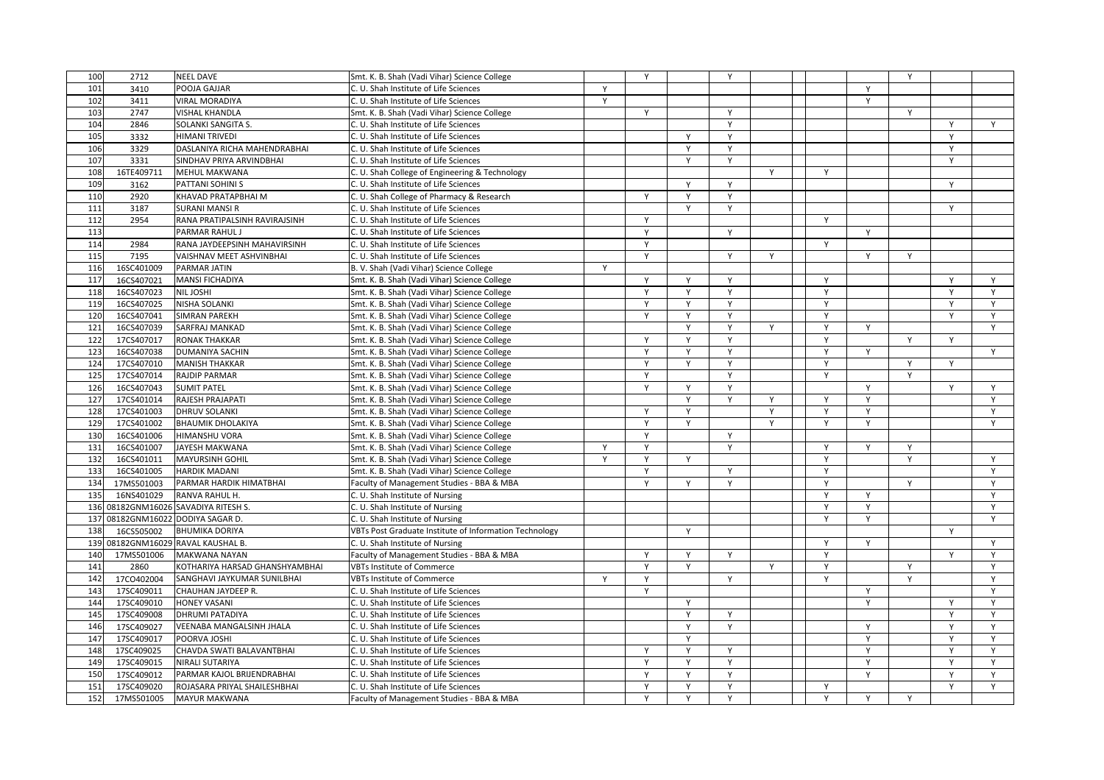| 100 | $\frac{2712}{ }$ | <b>NEEL DAVE</b>                     | Smt. K. B. Shah (Vadi Vihar) Science College           |   | Y            |              | Y |              |              |   | Y |   |              |
|-----|------------------|--------------------------------------|--------------------------------------------------------|---|--------------|--------------|---|--------------|--------------|---|---|---|--------------|
| 101 | 3410             | POOJA GAJJAR                         | C. U. Shah Institute of Life Sciences                  | Y |              |              |   |              |              | Y |   |   |              |
| 102 | 3411             | <b>VIRAL MORADIYA</b>                | C. U. Shah Institute of Life Sciences                  | Y |              |              |   |              |              | Y |   |   |              |
| 103 | 2747             | <b>VISHAL KHANDLA</b>                | Smt. K. B. Shah (Vadi Vihar) Science College           |   | Y            |              | Y |              |              |   | Y |   |              |
| 104 | 2846             | SOLANKI SANGITA S.                   | C. U. Shah Institute of Life Sciences                  |   |              |              | Y |              |              |   |   | Y | Y            |
| 105 | 3332             | <b>HIMANI TRIVEDI</b>                | C. U. Shah Institute of Life Sciences                  |   |              | Y            | Y |              |              |   |   | Y |              |
| 106 | 3329             | DASLANIYA RICHA MAHENDRABHAI         | C. U. Shah Institute of Life Sciences                  |   |              | $\mathsf{Y}$ | Y |              |              |   |   | Y |              |
| 107 | 3331             | SINDHAV PRIYA ARVINDBHAI             | C. U. Shah Institute of Life Sciences                  |   |              | Y            | Y |              |              |   |   | Y |              |
| 108 | 16TE409711       | MEHUL MAKWANA                        | C. U. Shah College of Engineering & Technology         |   |              |              |   | Y            | Y            |   |   |   |              |
| 109 | 3162             | PATTANI SOHINI S                     | C. U. Shah Institute of Life Sciences                  |   |              | Y            | Y |              |              |   |   | Y |              |
| 110 | 2920             | KHAVAD PRATAPBHAI M                  | C. U. Shah College of Pharmacy & Research              |   | Y            | Y            | Y |              |              |   |   |   |              |
| 111 | 3187             | <b>SURANI MANSI R</b>                | C. U. Shah Institute of Life Sciences                  |   |              | Y            | Y |              |              |   |   | Y |              |
| 112 | 2954             | RANA PRATIPALSINH RAVIRAJSINH        | C. U. Shah Institute of Life Sciences                  |   | Y            |              |   |              | Y            |   |   |   |              |
| 113 |                  | PARMAR RAHUL J                       | C. U. Shah Institute of Life Sciences                  |   | Y            |              | Y |              |              | Y |   |   |              |
| 114 | 2984             | RANA JAYDEEPSINH MAHAVIRSINH         | C. U. Shah Institute of Life Sciences                  |   | Y            |              |   |              | Y            |   |   |   |              |
| 115 | 7195             | VAISHNAV MEET ASHVINBHAI             | C. U. Shah Institute of Life Sciences                  |   | Y            |              | Y | Y            |              | Y | Y |   |              |
| 116 | 16SC401009       | PARMAR JATIN                         | B. V. Shah (Vadi Vihar) Science College                | Y |              |              |   |              |              |   |   |   |              |
| 117 |                  |                                      |                                                        |   | Y            | Y            | Y |              | Y            |   |   | Y | Y            |
|     | 16CS407021       | MANSI FICHADIYA                      | Smt. K. B. Shah (Vadi Vihar) Science College           |   |              |              |   |              |              |   |   |   |              |
| 118 | 16CS407023       | NIL JOSHI                            | Smt. K. B. Shah (Vadi Vihar) Science College           |   | Y            | Y            | Y |              | $\mathsf Y$  |   |   | Y | Y            |
| 119 | 16CS407025       | NISHA SOLANKI                        | Smt. K. B. Shah (Vadi Vihar) Science College           |   | Y            | Y            | Y |              | Y            |   |   | Y | Y            |
| 120 | 16CS407041       | <b>SIMRAN PAREKH</b>                 | Smt. K. B. Shah (Vadi Vihar) Science College           |   |              | Y            | Y |              | $\mathsf{v}$ |   |   |   | Y            |
| 121 | 16CS407039       | SARFRAJ MANKAD                       | Smt. K. B. Shah (Vadi Vihar) Science College           |   |              | Y            | Y | $\mathsf{v}$ | Y            | Y |   |   | Y            |
| 122 | 17CS407017       | <b>RONAK THAKKAR</b>                 | Smt. K. B. Shah (Vadi Vihar) Science College           |   | Y            | Y            | Y |              | Y            |   | Y | Y |              |
| 123 | 16CS407038       | DUMANIYA SACHIN                      | Smt. K. B. Shah (Vadi Vihar) Science College           |   | Y            | Y            | Y |              | Y            | Y |   |   | Y            |
| 124 | 17CS407010       | <b>MANISH THAKKAR</b>                | Smt. K. B. Shah (Vadi Vihar) Science College           |   | Y            | Y            | Y |              | Y            |   | Y | Y |              |
| 125 | 17CS407014       | <b>RAJDIP PARMAR</b>                 | Smt. K. B. Shah (Vadi Vihar) Science College           |   | Y            |              | Y |              | Y            |   | Y |   |              |
| 126 | 16CS407043       | <b>SUMIT PATEL</b>                   | Smt. K. B. Shah (Vadi Vihar) Science College           |   | Y            | Y            | Y |              |              | Y |   | Y | Y            |
| 127 | 17CS401014       | RAJESH PRAJAPATI                     | Smt. K. B. Shah (Vadi Vihar) Science College           |   |              | Y            | Y | Y            | Y            | Y |   |   | Y            |
| 128 | 17CS401003       | <b>DHRUV SOLANKI</b>                 | Smt. K. B. Shah (Vadi Vihar) Science College           |   | Y            | Y            |   | Y            | Y            | Y |   |   | Y            |
| 129 | 17CS401002       | <b>BHAUMIK DHOLAKIYA</b>             | Smt. K. B. Shah (Vadi Vihar) Science College           |   | Y            | Y            |   | Y            | Y            | Y |   |   | Y            |
| 130 | 16CS401006       | <b>HIMANSHU VORA</b>                 | Smt. K. B. Shah (Vadi Vihar) Science College           |   | Y            |              | Y |              |              |   |   |   |              |
| 131 | 16CS401007       | <b>JAYESH MAKWANA</b>                | Smt. K. B. Shah (Vadi Vihar) Science College           | Y | Y            |              | Y |              | Y            | Y | Υ |   |              |
| 132 | 16CS401011       | <b>MAYURSINH GOHIL</b>               | Smt. K. B. Shah (Vadi Vihar) Science College           | Y | Y            | Y            |   |              | Y            |   | Y |   | Y            |
| 133 | 16CS401005       | <b>HARDIK MADANI</b>                 | Smt. K. B. Shah (Vadi Vihar) Science College           |   | Y            |              | Y |              | Y            |   |   |   | $\mathsf{Y}$ |
| 134 | 17MS501003       | PARMAR HARDIK HIMATBHAI              | Faculty of Management Studies - BBA & MBA              |   | Y            | Y            | Y |              | Y            |   | Y |   | Y            |
| 135 | 16NS401029       | RANVA RAHUL H.                       | C. U. Shah Institute of Nursing                        |   |              |              |   |              | Y            | Y |   |   | Y            |
|     |                  | 136 08182GNM16026 SAVADIYA RITESH S. | C. U. Shah Institute of Nursing                        |   |              |              |   |              | Y            | Y |   |   | Y            |
|     |                  | 137 08182GNM16022 DODIYA SAGAR D.    | C. U. Shah Institute of Nursing                        |   |              |              |   |              | Y            | Y |   |   | Y            |
| 138 | 16CS505002       | <b>BHUMIKA DORIYA</b>                | VBTs Post Graduate Institute of Information Technology |   |              | Y            |   |              |              |   |   | Y |              |
|     |                  | 139 08182GNM16029 RAVAL KAUSHAL B.   | C. U. Shah Institute of Nursing                        |   |              |              |   |              | Y            | Y |   |   | Y            |
| 140 | 17MS501006       | <b>MAKWANA NAYAN</b>                 | Faculty of Management Studies - BBA & MBA              |   | Y            | Υ            | Y |              | Y            |   |   | Υ | Y            |
| 141 | 2860             | KOTHARIYA HARSAD GHANSHYAMBHAI       | <b>VBTs Institute of Commerce</b>                      |   | Y            | Y            |   | Y            | Y            |   | Y |   | Y            |
| 142 | 17CO402004       | SANGHAVI JAYKUMAR SUNILBHAI          | <b>VBTs Institute of Commerce</b>                      | Y | Y            |              | Y |              | Y            |   | Y |   | Y            |
| 143 | 17SC409011       | CHAUHAN JAYDEEP R.                   | C. U. Shah Institute of Life Sciences                  |   | Y            |              |   |              |              | Y |   |   | Y            |
| 144 | 17SC409010       | <b>HONEY VASANI</b>                  | C. U. Shah Institute of Life Sciences                  |   |              | Y            |   |              |              | Y |   | Y | Y            |
| 145 | 17SC409008       | DHRUMI PATADIYA                      | C. U. Shah Institute of Life Sciences                  |   |              | Y            | Y |              |              |   |   | Y | Y            |
| 146 | 17SC409027       | <b>VEENABA MANGALSINH JHALA</b>      | C. U. Shah Institute of Life Sciences                  |   |              | Y            | Y |              |              | Y |   | Υ | Y            |
| 147 | 17SC409017       | POORVA JOSHI                         | C. U. Shah Institute of Life Sciences                  |   |              | Y            |   |              |              | Y |   | Y | Y            |
| 148 | 17SC409025       | CHAVDA SWATI BALAVANTBHAI            | C. U. Shah Institute of Life Sciences                  |   | $\mathsf{v}$ | Y            | Y |              |              | Y |   | Y | Y            |
| 149 | 17SC409015       | NIRALI SUTARIYA                      | C. U. Shah Institute of Life Sciences                  |   | Y            | Y            | Y |              |              | Y |   | Y | Y            |
| 150 | 17SC409012       | PARMAR KAJOL BRIJENDRABHAI           | C. U. Shah Institute of Life Sciences                  |   | Y            | Y            | Y |              |              | Y |   | Y | Y            |
| 151 | 17SC409020       | ROJASARA PRIYAL SHAILESHBHAI         | C. U. Shah Institute of Life Sciences                  |   | Y            | Y            | Υ |              | Υ            |   |   | Y | Y            |
| 152 | 17MS501005       | <b>MAYUR MAKWANA</b>                 | Faculty of Management Studies - BBA & MBA              |   | Y            | Y            | Y |              | Y            | Y | Υ |   |              |
|     |                  |                                      |                                                        |   |              |              |   |              |              |   |   |   |              |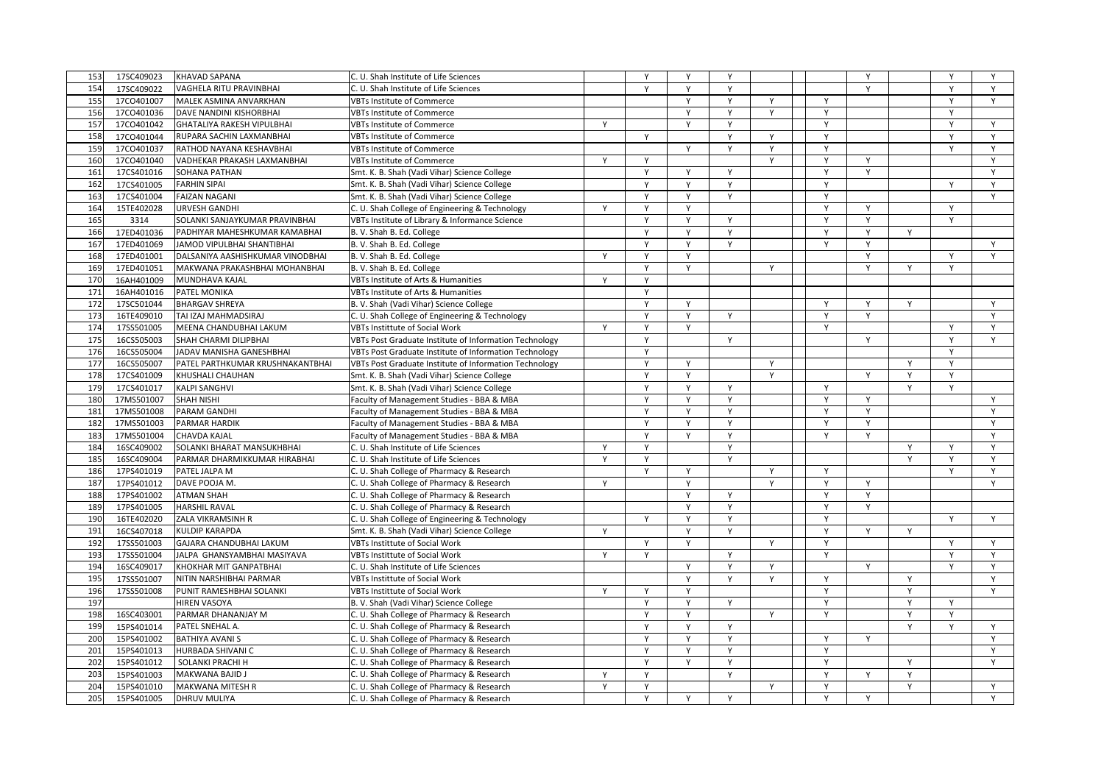| 153 | 17SC409023 | <b>KHAVAD SAPANA</b>              | C. U. Shah Institute of Life Sciences                  |        | $\mathsf{v}$ | Y            | Y            |              |                | Y |              |              | Y      |
|-----|------------|-----------------------------------|--------------------------------------------------------|--------|--------------|--------------|--------------|--------------|----------------|---|--------------|--------------|--------|
| 154 | 17SC409022 | VAGHELA RITU PRAVINBHAI           | C. U. Shah Institute of Life Sciences                  |        | $\mathsf{Y}$ | Y            | Y            |              |                | Y |              | $\mathsf{Y}$ | Y      |
| 155 |            | MALEK ASMINA ANVARKHAN            | <b>VBTs Institute of Commerce</b>                      |        |              | Y            | Y            | Y            |                |   |              | Y            | Y      |
|     | 17CO401007 |                                   |                                                        |        |              |              |              |              | Y              |   |              |              |        |
| 156 | 17CO401036 | DAVE NANDINI KISHORBHAI           | <b>VBTs Institute of Commerce</b>                      |        |              | Y            | Y            | Y            | Y              |   |              | Y            |        |
| 157 | 17CO401042 | <b>GHATALIYA RAKESH VIPULBHAI</b> | <b>VBTs Institute of Commerce</b>                      | Y      |              | Y            | Y            |              | Υ              |   |              | Y            | Y      |
| 158 | 17CO401044 | RUPARA SACHIN LAXMANBHAI          | <b>VBTs Institute of Commerce</b>                      |        | Y            |              | Y            | $\mathsf{v}$ | Y              |   |              |              | Y      |
| 159 | 17CO401037 | RATHOD NAYANA KESHAVBHAI          | <b>VBTs Institute of Commerce</b>                      |        |              | $\mathsf{v}$ | $\mathsf{Y}$ | $\mathsf{Y}$ | Y              |   |              | $\mathsf{v}$ | Y      |
| 160 | 17CO401040 | VADHEKAR PRAKASH LAXMANBHAI       | <b>VBTs Institute of Commerce</b>                      | Y      | Y            |              |              | $\mathsf{Y}$ | Y              | Y |              |              | Y      |
| 161 | 17CS401016 | SOHANA PATHAN                     | Smt. K. B. Shah (Vadi Vihar) Science College           |        | Y            | Y            | Y            |              | Y              | Y |              |              | Y      |
| 162 | 17CS401005 | <b>FARHIN SIPAI</b>               | Smt. K. B. Shah (Vadi Vihar) Science College           |        | Y            | Y            | Y            |              | Y              |   |              | Y            | Y      |
| 163 | 17CS401004 | <b>FAIZAN NAGANI</b>              | Smt. K. B. Shah (Vadi Vihar) Science College           |        | Y            | Y            | Y            |              | Y              |   |              |              | Y      |
| 164 | 15TE402028 | <b>URVESH GANDHI</b>              | C. U. Shah College of Engineering & Technology         | Y      | Y            | Y            |              |              | Y              | Y |              | $\mathsf{v}$ |        |
| 165 | 3314       | SOLANKI SANJAYKUMAR PRAVINBHAI    | VBTs Institute of Library & Informance Science         |        | Y            | Y            | Y            |              | Y              | Y |              | Y            |        |
| 166 | 17ED401036 | PADHIYAR MAHESHKUMAR KAMABHAI     | B. V. Shah B. Ed. College                              |        | Y            | Y            | Y            |              | Y              | Y | Y            |              |        |
| 167 | 17ED401069 | JAMOD VIPULBHAI SHANTIBHAI        | B. V. Shah B. Ed. College                              |        | Y            | Y            | Y            |              | Y              | Y |              |              | Y      |
| 168 | 17ED401001 | DALSANIYA AASHISHKUMAR VINODBHAI  | B. V. Shah B. Ed. College                              | Y      | $\mathsf{v}$ | Y            |              |              |                | Y |              |              | Y      |
| 169 | 17ED401051 | MAKWANA PRAKASHBHAI MOHANBHAI     | B. V. Shah B. Ed. College                              |        | Y            | Y            |              | Y            |                | Y | Y            | Y            |        |
| 170 | 16AH401009 | MUNDHAVA KAJAL                    | VBTs Institute of Arts & Humanities                    | Y      | Y            |              |              |              |                |   |              |              |        |
| 171 | 16AH401016 | PATEL MONIKA                      | VBTs Institute of Arts & Humanities                    |        | Y            |              |              |              |                |   |              |              |        |
| 172 | 17SC501044 | <b>BHARGAV SHREYA</b>             | B. V. Shah (Vadi Vihar) Science College                |        | Y            | Υ            |              |              | Y              | Y | Y            |              | Y      |
| 173 | 16TE409010 | TAI IZAJ MAHMADSIRAJ              | C. U. Shah College of Engineering & Technology         |        | $\mathsf{v}$ | Y            | Y            |              | Y              | Y |              |              | Y      |
| 174 | 17SS501005 | MEENA CHANDUBHAI LAKUM            | <b>VBTs Instittute of Social Work</b>                  | Y      | Y            | Y            |              |              | Y              |   |              | $\mathsf{v}$ | Y      |
| 175 | 16CS505003 | SHAH CHARMI DILIPBHAI             | VBTs Post Graduate Institute of Information Technology |        | $\mathsf{Y}$ |              | Y            |              |                | Y |              | $\mathsf{v}$ | Y      |
| 176 | 16CS505004 | JADAV MANISHA GANESHBHAI          | VBTs Post Graduate Institute of Information Technology |        | Y            |              |              |              |                |   |              | Y            |        |
| 177 | 16CS505007 | PATEL PARTHKUMAR KRUSHNAKANTBHAI  | VBTs Post Graduate Institute of Information Technology |        | Y            | Y            |              | Y            |                |   | Y            | Y            |        |
| 178 | 17CS401009 | KHUSHALI CHAUHAN                  | Smt. K. B. Shah (Vadi Vihar) Science College           |        | Y            | Υ            |              | Y            |                | Y | Y            | Y            |        |
| 179 | 17CS401017 | <b>KALPI SANGHVI</b>              | Smt. K. B. Shah (Vadi Vihar) Science College           |        | $\mathsf{v}$ | Y            | Y            |              | Y              |   | $\mathsf{v}$ | $\mathsf{Y}$ |        |
| 180 | 17MS501007 | <b>SHAH NISHI</b>                 | Faculty of Management Studies - BBA & MBA              |        | $\mathsf{Y}$ | $\mathsf{Y}$ | $\mathsf{Y}$ |              | $\mathsf{Y}$   | Y |              |              | Y      |
| 181 | 17MS501008 | PARAM GANDHI                      | Faculty of Management Studies - BBA & MBA              |        | Y            | Y            | Y            |              | Y              | Y |              |              | Y      |
| 182 | 17MS501003 | PARMAR HARDIK                     | Faculty of Management Studies - BBA & MBA              |        | Y            | Y            | Y            |              | Y              | Y |              |              | Y      |
| 183 | 17MS501004 | CHAVDA KAJAL                      | Faculty of Management Studies - BBA & MBA              |        | Y            | Y            |              |              | Y              | Y |              |              | Y      |
|     |            |                                   |                                                        |        | Y            |              | Y            |              |                |   |              | Y            |        |
| 184 | 16SC409002 | SOLANKI BHARAT MANSUKHBHAI        | C. U. Shah Institute of Life Sciences                  | Υ<br>Y | Y            |              | Y<br>Y       |              |                |   | Y<br>Y       | $\vee$       | Y<br>Y |
| 185 | 16SC409004 | PARMAR DHARMIKKUMAR HIRABHAI      | C. U. Shah Institute of Life Sciences                  |        |              |              |              |              |                |   |              |              |        |
| 186 | 17PS401019 | PATEL JALPA M                     | C. U. Shah College of Pharmacy & Research              |        | Y            | Y            |              | Y            | Y              |   |              | Y            | Y      |
| 187 | 17PS401012 | DAVE POOJA M.                     | C. U. Shah College of Pharmacy & Research              | Y      |              | Y            |              | Y            | $\overline{Y}$ | Y |              |              | Y      |
| 188 | 17PS401002 | <b>ATMAN SHAH</b>                 | C. U. Shah College of Pharmacy & Research              |        |              | Y            | Y            |              | Y              | Y |              |              |        |
| 189 | 17PS401005 | <b>HARSHIL RAVAL</b>              | C. U. Shah College of Pharmacy & Research              |        |              | Y            | Y            |              | Y              | Y |              |              |        |
| 190 | 16TE402020 | ZALA VIKRAMSINH R                 | C. U. Shah College of Engineering & Technology         |        | $\mathsf{Y}$ | $\mathsf{v}$ | Y            |              | Y              |   |              | $\mathsf{v}$ | Y      |
| 191 | 16CS407018 | <b>KULDIP KARAPDA</b>             | Smt. K. B. Shah (Vadi Vihar) Science College           | Y      |              | Y            | Y            |              | Y              | Y | Y            |              |        |
| 192 | 17SS501003 | GAJARA CHANDUBHAI LAKUM           | VBTs Instittute of Social Work                         |        | Y            | Y            |              | Y            | $\mathsf{Y}$   |   |              | Y            | Y      |
| 193 | 17SS501004 | JALPA GHANSYAMBHAI MASIYAVA       | VBTs Instittute of Social Work                         | Y      | Y            |              | Y            |              | Y              |   |              | Y            | Y      |
| 194 | 16SC409017 | KHOKHAR MIT GANPATBHAI            | C. U. Shah Institute of Life Sciences                  |        |              | Y            | Y            | Y            |                | Y |              | $\mathsf{v}$ | Y      |
| 195 | 17SS501007 | NITIN NARSHIBHAI PARMAR           | <b>VBTs Instittute of Social Work</b>                  |        |              | $\mathsf{Y}$ | Y            | $\mathsf{Y}$ | Y              |   | Y            |              | Y      |
| 196 | 17SS501008 | PUNIT RAMESHBHAI SOLANKI          | <b>VBTs Instittute of Social Work</b>                  | Y      | Y            | Y            |              |              | Y              |   | Y            |              | Y      |
| 197 |            | <b>HIREN VASOYA</b>               | B. V. Shah (Vadi Vihar) Science College                |        | Y            | Y            | Y            |              | Y              |   | Y            | Y            |        |
| 198 | 16SC403001 | PARMAR DHANANJAY M                | C. U. Shah College of Pharmacy & Research              |        | Y            | Y            |              | Y            | Y              |   | Y            | Y            |        |
| 199 | 15PS401014 | PATEL SNEHAL A.                   | C. U. Shah College of Pharmacy & Research              |        | Y            | Y            | Y            |              |                |   | Y            | Y            | Y      |
| 200 | 15PS401002 | <b>BATHIYA AVANI S</b>            | C. U. Shah College of Pharmacy & Research              |        | $\mathsf{v}$ | Y            | Y            |              | Y              | Y |              |              | Y      |
| 201 | 15PS401013 | <b>HURBADA SHIVANI C</b>          | C. U. Shah College of Pharmacy & Research              |        | $\mathsf{Y}$ | Y            | Y            |              | Y              |   |              |              | Y      |
| 202 | 15PS401012 | SOLANKI PRACHI H                  | C. U. Shah College of Pharmacy & Research              |        | Y            | Y            | Y            |              | Y              |   | Y            |              | Y      |
| 203 | 15PS401003 | MAKWANA BAJID J                   | C. U. Shah College of Pharmacy & Research              | Y      | Y            |              | Y            |              | Y              | Y | Y            |              |        |
| 204 | 15PS401010 | <b>MAKWANA MITESH R</b>           | C. U. Shah College of Pharmacy & Research              | Y      | Y            |              |              | Y            | Y              |   | Y            |              | Y      |
| 205 | 15PS401005 | <b>DHRUV MULIYA</b>               | C. U. Shah College of Pharmacy & Research              |        | Y            | Y            | Y            |              | Y              | Y |              |              | Y      |
|     |            |                                   |                                                        |        |              |              |              |              |                |   |              |              |        |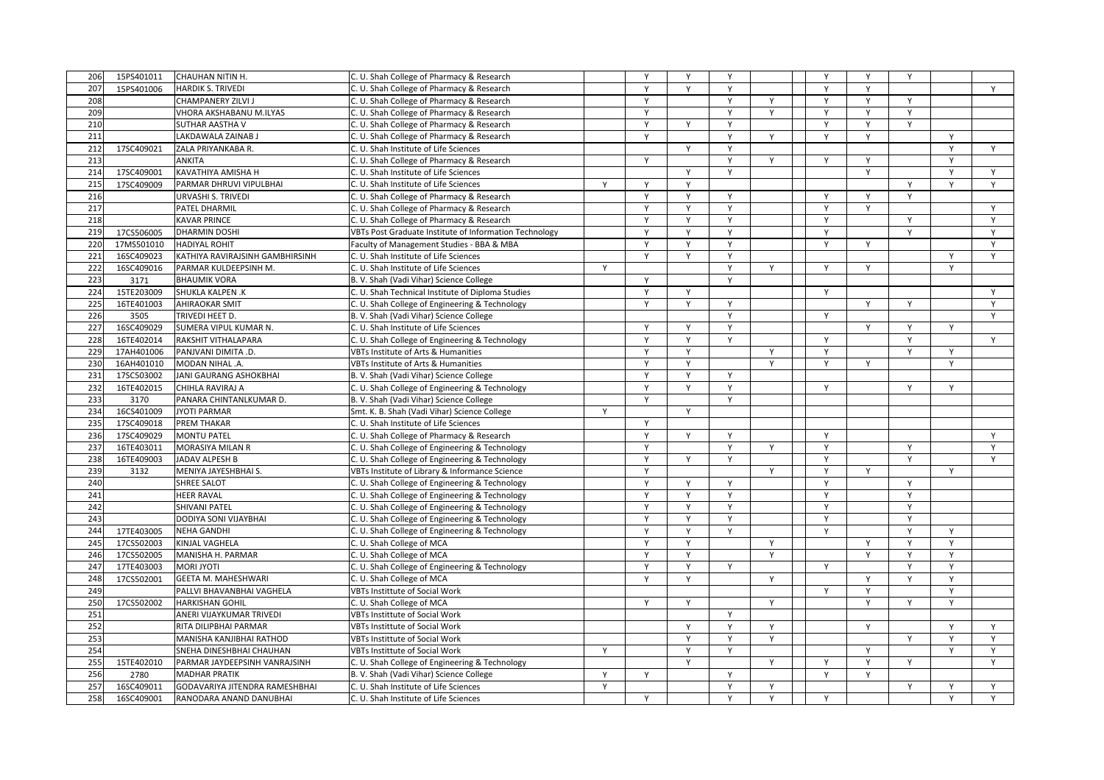| 206 | 15PS401011 | <b>CHAUHAN NITIN H.</b>         | C. U. Shah College of Pharmacy & Research              |   | Y            | Y            | Y            |              | Y            | Y            | Y      |              |   |
|-----|------------|---------------------------------|--------------------------------------------------------|---|--------------|--------------|--------------|--------------|--------------|--------------|--------|--------------|---|
| 207 | 15PS401006 | <b>HARDIK S. TRIVEDI</b>        | C. U. Shah College of Pharmacy & Research              |   | Y            | Y            | Y            |              | Y            | Y            |        |              | Y |
| 208 |            | CHAMPANERY ZILVI J              | C. U. Shah College of Pharmacy & Research              |   | Y            |              | Y            | Y            | Y            | Y            | Y      |              |   |
| 209 |            | VHORA AKSHABANU M.ILYAS         | C. U. Shah College of Pharmacy & Research              |   | Y            |              | Y            | Y            | Y            | Y            | Y      |              |   |
| 210 |            | SUTHAR AASTHA V                 | C. U. Shah College of Pharmacy & Research              |   | Y            | Y            | Υ            |              | Y            | Y            | Υ      |              |   |
| 211 |            | LAKDAWALA ZAINAB J              |                                                        |   | Y            |              | Y            | Y            | Y            | Y            |        | Y            |   |
|     |            |                                 | C. U. Shah College of Pharmacy & Research              |   |              | Y            |              |              |              |              |        | Y            |   |
| 212 | 17SC409021 | ZALA PRIYANKABA R.              | C. U. Shah Institute of Life Sciences                  |   |              |              | Y            |              |              |              |        |              | Y |
| 213 |            | <b>ANKITA</b>                   | C. U. Shah College of Pharmacy & Research              |   | Y            |              | Y            | Y            | Y            | Y            |        | Y            |   |
| 214 | 17SC409001 | KAVATHIYA AMISHA H              | C. U. Shah Institute of Life Sciences                  |   |              | Y            | Y            |              |              | Y            |        | Y            | Y |
| 215 | 17SC409009 | PARMAR DHRUVI VIPULBHAI         | C. U. Shah Institute of Life Sciences                  | Y | Y            | Y            |              |              |              |              | Υ      | Y            | Y |
| 216 |            | <b>URVASHI S. TRIVEDI</b>       | C. U. Shah College of Pharmacy & Research              |   | $\mathsf{v}$ | $\mathsf{v}$ | $\mathsf{Y}$ |              | $\mathsf{v}$ | Y            | Y      |              |   |
| 217 |            | PATEL DHARMIL                   | C. U. Shah College of Pharmacy & Research              |   | Y            | Y            | Y            |              | Y            | Y            |        |              | Y |
| 218 |            | <b>KAVAR PRINCE</b>             | C. U. Shah College of Pharmacy & Research              |   | Y            | Y            | Y            |              | Y            |              | Y      |              | Y |
| 219 | 17CS506005 | <b>DHARMIN DOSHI</b>            | VBTs Post Graduate Institute of Information Technology |   | Y            | Y            | Y            |              | Y            |              | Y      |              | Y |
| 220 | 17MS501010 | <b>HADIYAL ROHIT</b>            | Faculty of Management Studies - BBA & MBA              |   | Y            | Y            | Υ            |              | Y            | Y            |        |              | Y |
| 221 | 16SC409023 | KATHIYA RAVIRAJSINH GAMBHIRSINH | C. U. Shah Institute of Life Sciences                  |   | $\mathsf{v}$ | Y            | Υ            |              |              |              |        | Y            | Y |
| 222 | 16SC409016 | PARMAR KULDEEPSINH M.           | C. U. Shah Institute of Life Sciences                  | Y |              |              | Y            | $\mathsf{v}$ | Y            | Y            |        | Y            |   |
| 223 | 3171       | <b>BHAUMIK VORA</b>             | B. V. Shah (Vadi Vihar) Science College                |   | Y            |              | Y            |              |              |              |        |              |   |
| 224 | 15TE203009 | SHUKLA KALPEN .K                | C. U. Shah Technical Institute of Diploma Studies      |   | Y            | Y            |              |              | Y            |              |        |              | Y |
| 225 | 16TE401003 | <b>AHIRAOKAR SMIT</b>           | C. U. Shah College of Engineering & Technology         |   | Y            | Y            | Y            |              |              | Y            | Y      |              | Y |
| 226 | 3505       | TRIVEDI HEET D.                 | B. V. Shah (Vadi Vihar) Science College                |   |              |              | Y            |              | Y            |              |        |              | Y |
| 227 | 16SC409029 | SUMERA VIPUL KUMAR N.           | C. U. Shah Institute of Life Sciences                  |   | Y            | Y            | Y            |              |              | $\mathsf{Y}$ | Y      | $\mathsf{v}$ |   |
| 228 | 16TE402014 | RAKSHIT VITHALAPARA             | C. U. Shah College of Engineering & Technology         |   | Y            | Y            | $\mathsf{Y}$ |              | Y            |              | Y      |              | Y |
| 229 | 17AH401006 | PANJVANI DIMITA .D.             | VBTs Institute of Arts & Humanities                    |   | Y            | Y            |              | Y            | Y            |              | Y      | Y            |   |
| 230 | 16AH401010 | MODAN NIHAL .A.                 | VBTs Institute of Arts & Humanities                    |   | Y            | Y            |              | Y            | Y            | Y            |        | Y            |   |
| 231 | 17SC503002 | JANI GAURANG ASHOKBHAI          | B. V. Shah (Vadi Vihar) Science College                |   | Y            | Y            | Y            |              |              |              |        |              |   |
| 232 | 16TE402015 | CHIHLA RAVIRAJ A                | C. U. Shah College of Engineering & Technology         |   | Y            | $\mathsf{Y}$ | Y            |              | Y            |              | Y      | Y            |   |
| 233 | 3170       | PANARA CHINTANLKUMAR D.         | B. V. Shah (Vadi Vihar) Science College                |   | Y            |              | Y            |              |              |              |        |              |   |
| 234 | 16CS401009 | <b>JYOTI PARMAR</b>             | Smt. K. B. Shah (Vadi Vihar) Science College           | Y |              | Y            |              |              |              |              |        |              |   |
| 235 | 17SC409018 | PREM THAKAR                     | C. U. Shah Institute of Life Sciences                  |   | Y            |              |              |              |              |              |        |              |   |
| 236 | 17SC409029 | <b>MONTU PATEL</b>              | C. U. Shah College of Pharmacy & Research              |   | Y            | Y            | Y            |              | Y            |              |        |              | Y |
| 237 | 16TE403011 | MORASIYA MILAN R                | C. U. Shah College of Engineering & Technology         |   | Y            |              | Υ            | Y            | Y            |              |        |              | Y |
| 238 | 16TE409003 | JADAV ALPESH B                  |                                                        |   | Y            | Y            | Y            |              | Y            |              | Υ<br>Y |              | Y |
| 239 |            |                                 | C. U. Shah College of Engineering & Technology         |   |              |              |              | $\mathsf{Y}$ |              |              |        | Y            |   |
|     | 3132       | MENIYA JAYESHBHAI S.            | VBTs Institute of Library & Informance Science         |   | Y            |              |              |              | Y            | Y            |        |              |   |
| 240 |            | SHREE SALOT                     | C. U. Shah College of Engineering & Technology         |   | Y            | Y            | Y            |              | Y            |              | Y      |              |   |
| 241 |            | <b>HEER RAVAL</b>               | C. U. Shah College of Engineering & Technology         |   | Y            | Υ            | Y            |              | Y            |              | Y      |              |   |
| 242 |            | <b>SHIVANI PATEL</b>            | C. U. Shah College of Engineering & Technology         |   | Y            | Y            | Υ            |              | Y            |              | Y      |              |   |
| 243 |            | DODIYA SONI VIJAYBHAI           | C. U. Shah College of Engineering & Technology         |   | $\mathsf{v}$ | $\mathsf{v}$ | $\mathsf{v}$ |              | $\mathsf{Y}$ |              | Y      |              |   |
| 244 | 17TE403005 | <b>NEHA GANDHI</b>              | C. U. Shah College of Engineering & Technology         |   | Y            | Y            | Y            |              | Y            |              | Y      | $\mathsf{v}$ |   |
| 245 | 17CS502003 | KINJAL VAGHELA                  | C. U. Shah College of MCA                              |   | Y            | Y            |              | Y            |              | Y            | Y      | Y            |   |
| 246 | 17CS502005 | MANISHA H. PARMAR               | C. U. Shah College of MCA                              |   | Y            | Y            |              | Y            |              | Y            | Y      | Y            |   |
| 247 | 17TE403003 | <b>MORI JYOTI</b>               | C. U. Shah College of Engineering & Technology         |   | Y            | Y            | Υ            |              | Υ            |              | Υ      | Y            |   |
| 248 | 17CS502001 | GEETA M. MAHESHWARI             | C. U. Shah College of MCA                              |   | $\mathsf{v}$ | Y            |              | $\mathsf{v}$ |              | Y            | Y      | Y            |   |
| 249 |            | PALLVI BHAVANBHAI VAGHELA       | <b>VBTs Instittute of Social Work</b>                  |   |              |              |              |              | Y            | Y            |        | Y            |   |
| 250 | 17CS502002 | <b>HARKISHAN GOHIL</b>          | C. U. Shah College of MCA                              |   | Y            | Y            |              | Y            |              | Y            | Y      | Y            |   |
| 251 |            | ANERI VIJAYKUMAR TRIVEDI        | <b>VBTs Instittute of Social Work</b>                  |   |              |              | Y            |              |              |              |        |              |   |
| 252 |            | RITA DILIPBHAI PARMAR           | <b>VBTs Instittute of Social Work</b>                  |   |              | Y            | Y            | Y            |              | Y            |        | Y            | Y |
| 253 |            | MANISHA KANJIBHAI RATHOD        | VBTs Instittute of Social Work                         |   |              | Y            | Y            | Y            |              |              | Y      | Y            | Y |
| 254 |            | SNEHA DINESHBHAI CHAUHAN        | <b>VBTs Instittute of Social Work</b>                  | Y |              | $\mathsf{Y}$ | Y            |              |              | Y            |        | $\mathsf{v}$ | Y |
| 255 | 15TE402010 | PARMAR JAYDEEPSINH VANRAJSINH   | C. U. Shah College of Engineering & Technology         |   |              | Y            |              | Y            | Y            | Y            | Y      |              | Y |
| 256 | 2780       | <b>MADHAR PRATIK</b>            | B. V. Shah (Vadi Vihar) Science College                | Y | Y            |              | Y            |              | Y            | Y            |        |              |   |
| 257 | 16SC409011 | GODAVARIYA JITENDRA RAMESHBHAI  | C. U. Shah Institute of Life Sciences                  | Y |              |              | Y            | Y            |              |              | Y      | Y            | Y |
| 258 | 16SC409001 | RANODARA ANAND DANUBHAI         | C. U. Shah Institute of Life Sciences                  |   | Y            |              | Y            | Y            | Y            |              |        | Y            | Y |
|     |            |                                 |                                                        |   |              |              |              |              |              |              |        |              |   |